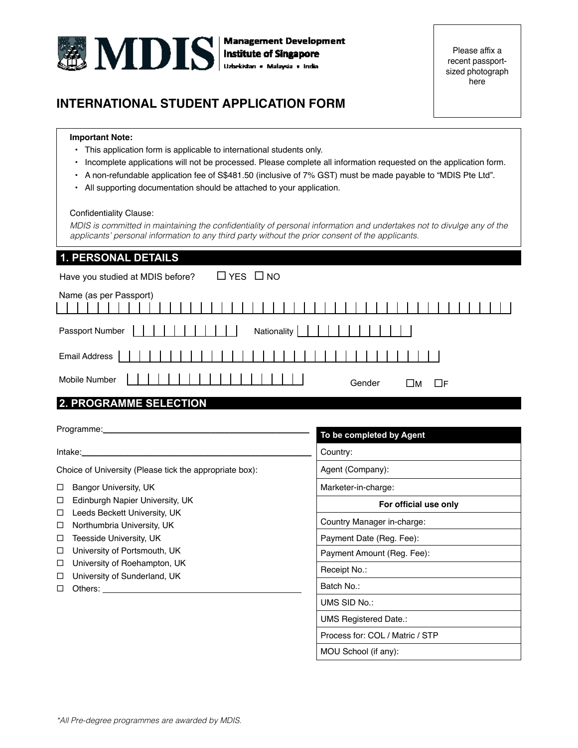

Please affix a recent passportsized photograph here

# **INTERNATIONAL STUDENT APPLICATION FORM**

### **Important Note:**

- This application form is applicable to international students only.
- Incomplete applications will not be processed. Please complete all information requested on the application form.
- A non-refundable application fee of S\$481.50 (inclusive of 7% GST) must be made payable to "MDIS Pte Ltd".
- All supporting documentation should be attached to your application.

### Confidentiality Clause:

MDIS is committed in maintaining the confidentiality of personal information and undertakes not to divulge any of the applicants' personal information to any third party without the prior consent of the applicants.

## **1. PERSONAL DETAILS**

| Have you studied at MDIS before? | $\Box$ YES $\Box$ NO |        |                |
|----------------------------------|----------------------|--------|----------------|
| Name (as per Passport)           |                      |        |                |
| Passport Number                  | Nationality          |        |                |
| Email Address                    |                      |        |                |
| Mobile Number                    |                      | Gender | ⊟м<br>$\Box$ F |
| <b>2. PROGRAMME SELECTION</b>    |                      |        |                |

|                                                                                                                                                                                                                                                                     | To be completed by Agent        |
|---------------------------------------------------------------------------------------------------------------------------------------------------------------------------------------------------------------------------------------------------------------------|---------------------------------|
| Intake: when the set of the set of the set of the set of the set of the set of the set of the set of the set o                                                                                                                                                      | Country:                        |
| Choice of University (Please tick the appropriate box):                                                                                                                                                                                                             | Agent (Company):                |
| Bangor University, UK<br>□                                                                                                                                                                                                                                          | Marketer-in-charge:             |
| Edinburgh Napier University, UK<br>□                                                                                                                                                                                                                                | For official use only           |
| Leeds Beckett University, UK<br>$\Box$<br>Northumbria University, UK<br>□                                                                                                                                                                                           | Country Manager in-charge:      |
| Teesside University, UK<br>□                                                                                                                                                                                                                                        | Payment Date (Reg. Fee):        |
| University of Portsmouth, UK<br>□                                                                                                                                                                                                                                   | Payment Amount (Reg. Fee):      |
| University of Roehampton, UK<br>□<br>□                                                                                                                                                                                                                              | Receipt No.:                    |
| University of Sunderland, UK<br>П<br>Others: the contract of the contract of the contract of the contract of the contract of the contract of the contract of the contract of the contract of the contract of the contract of the contract of the contract of the co | Batch No.:                      |
|                                                                                                                                                                                                                                                                     | UMS SID No.:                    |
|                                                                                                                                                                                                                                                                     | <b>UMS Registered Date.:</b>    |
|                                                                                                                                                                                                                                                                     | Process for: COL / Matric / STP |
|                                                                                                                                                                                                                                                                     | MOU School (if any):            |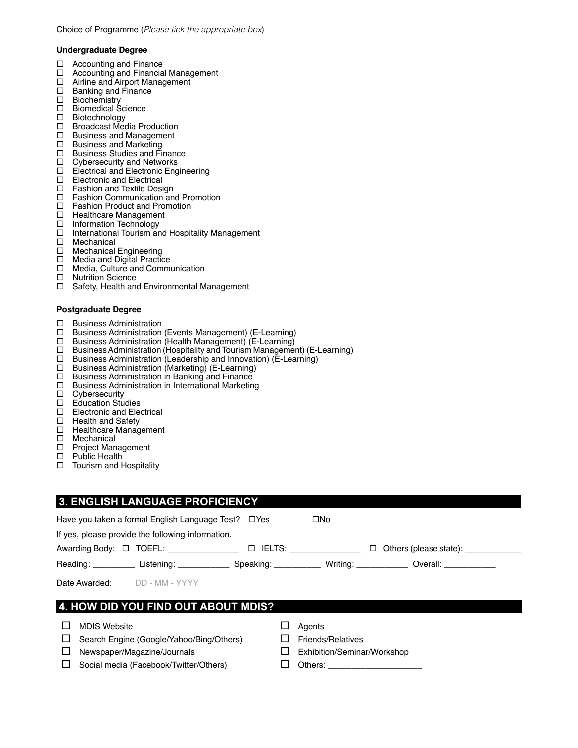### **Undergraduate Degree**

- □ Accounting and Finance
- □ Accounting and Financial Management
- □ Airline and Airport Management
- □ Banking and Finance
- □ Biochemistry
- □ Biomedical Science
- □ Biotechnology
- □ Broadcast Media Production
- $\Box$  Business and Management  $\Box$  Business and Marketing
- Business and Marketing
- □ Business Studies and Finance
- $\Box$  Cybersecurity and Networks
- Electrical and Electronic Engineering
- $\square$  Electronic and Electrical<br> $\square$  Fashion and Textile Desi
- Fashion and Textile Design
- □ Fashion Communication and Promotion
- □ Fashion Product and Promotion
- □ Healthcare Management
- □ Information Technology
- □ International Tourism and Hospitality Management
- □ Mechanical
- □ Mechanical Engineering
- □ Media and Digital Practice
- □ Media, Culture and Communication
- □ Nutrition Science
- □ Safety, Health and Environmental Management

### **Postgraduate Degree**

- $\Box$  Business Administration
- Business Administration (Events Management) (E-Learning)
- □ Business Administration (Health Management) (E-Learning)
- □ Business Administration (Hospitality and Tourism Management) (E-Learning)
- □ Business Administration (Leadership and Innovation) (E-Learning)
- □ Business Administration (Marketing) (E-Learning)
- $\Box$  Business Administration in Banking and Finance
- Business Administration in International Marketing
- □ Cybersecurity<br>□ Education Stu
- Education Studies
- □ Electronic and Electrical
- $\Box$  Health and Safety
- $\Box$  Healthcare Management<br> $\Box$  Mechanical
- Mechanical
- □ Project Management
- □ Public Health
- $\Box$  Tourism and Hospitality

## **3. ENGLISH LANGUAGE PROFICIENCY**

|   |                     | Have you taken a formal English Language Test? □ Yes                                                           | $\square$ No                |        |  |
|---|---------------------|----------------------------------------------------------------------------------------------------------------|-----------------------------|--------|--|
|   |                     | If yes, please provide the following information.                                                              |                             |        |  |
|   |                     | Awarding Body: □ TOEFL: _________________ □ IELTS: _______________                                             |                             | $\Box$ |  |
|   |                     | Reading: Listening: Communication Speaking: Communication Coverall: Low Listening: Listening: Low Listening: L |                             |        |  |
|   |                     | Date Awarded: DD - MM - YYYY                                                                                   |                             |        |  |
|   |                     | 4. HOW DID YOU FIND OUT ABOUT MDIS?                                                                            |                             |        |  |
|   | <b>MDIS Website</b> |                                                                                                                | Agents                      |        |  |
|   |                     | Search Engine (Google/Yahoo/Bing/Others)                                                                       | <b>Friends/Relatives</b>    |        |  |
| ப |                     | Newspaper/Magazine/Journals                                                                                    | Exhibition/Seminar/Workshop |        |  |
|   |                     |                                                                                                                |                             |        |  |

- $\Box$  Social media (Facebook/Twitter/Others)  $\Box$  Others:
	-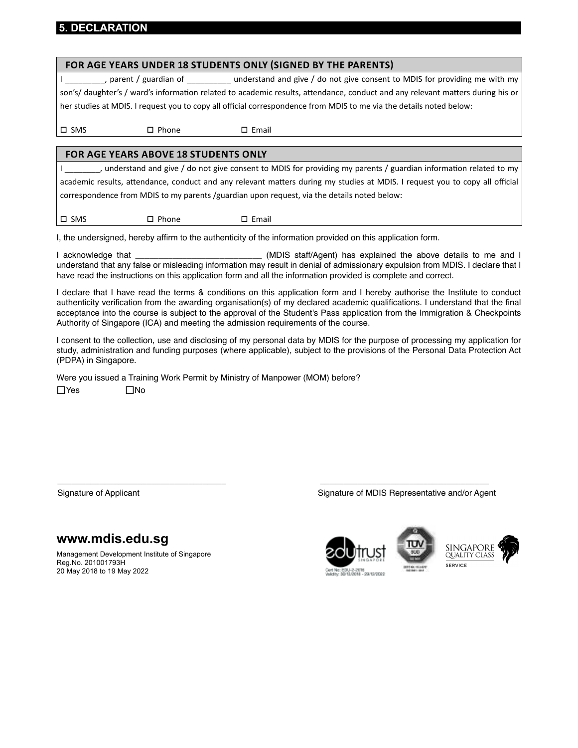## **5. DECLARATION**

|               | FOR AGE YEARS UNDER 18 STUDENTS ONLY (SIGNED BY THE PARENTS)                                |                 |                                                                                                                                |
|---------------|---------------------------------------------------------------------------------------------|-----------------|--------------------------------------------------------------------------------------------------------------------------------|
|               |                                                                                             |                 | parent / guardian of ___________ understand and give / do not give consent to MDIS for providing me with my                    |
|               |                                                                                             |                 | son's/ daughter's / ward's information related to academic results, attendance, conduct and any relevant matters during his or |
|               |                                                                                             |                 | her studies at MDIS. I request you to copy all official correspondence from MDIS to me via the details noted below:            |
|               |                                                                                             |                 |                                                                                                                                |
| $\square$ SMS | $\Box$ Phone                                                                                | $\Box$ Email    |                                                                                                                                |
|               |                                                                                             |                 |                                                                                                                                |
|               | <b>FOR AGE YEARS ABOVE 18 STUDENTS ONLY</b>                                                 |                 |                                                                                                                                |
|               |                                                                                             |                 | understand and give / do not give consent to MDIS for providing my parents / guardian information related to my _              |
|               |                                                                                             |                 | academic results, attendance, conduct and any relevant matters during my studies at MDIS. I request you to copy all official   |
|               | correspondence from MDIS to my parents /guardian upon request, via the details noted below: |                 |                                                                                                                                |
|               |                                                                                             |                 |                                                                                                                                |
| $\square$ SMS | $\Box$ Phone                                                                                | $\square$ Email |                                                                                                                                |

I, the undersigned, hereby affirm to the authenticity of the information provided on this application form.

I acknowledge that \_\_\_\_\_\_\_\_\_\_\_\_\_\_\_\_\_\_\_\_\_\_\_\_\_\_\_ (MDIS staff/Agent) has explained the above details to me and I understand that any false or misleading information may result in denial of admissionary expulsion from MDIS. I declare that I have read the instructions on this application form and all the information provided is complete and correct.

I declare that I have read the terms & conditions on this application form and I hereby authorise the Institute to conduct authenticity verification from the awarding organisation(s) of my declared academic qualifications. I understand that the final acceptance into the course is subject to the approval of the Student's Pass application from the Immigration & Checkpoints Authority of Singapore (ICA) and meeting the admission requirements of the course.

I consent to the collection, use and disclosing of my personal data by MDIS for the purpose of processing my application for study, administration and funding purposes (where applicable), subject to the provisions of the Personal Data Protection Act (PDPA) in Singapore.

\_\_\_\_\_\_\_\_\_\_\_\_\_\_\_\_\_\_\_\_\_\_\_\_\_\_\_\_\_\_\_\_\_\_\_\_ \_\_\_\_\_\_\_\_\_\_\_\_\_\_\_\_\_\_\_\_\_\_\_\_\_\_\_\_\_\_\_\_\_\_\_\_

Were you issued a Training Work Permit by Ministry of Manpower (MOM) before?

 $\Box$ Yes  $\Box$ No

**www.mdis.edu.sg**

Management Development Institute of Singapore Reg.No. 201001793H 20 May 2018 to 19 May 2022

Signature of Applicant Signature of MDIS Representative and/or Agent







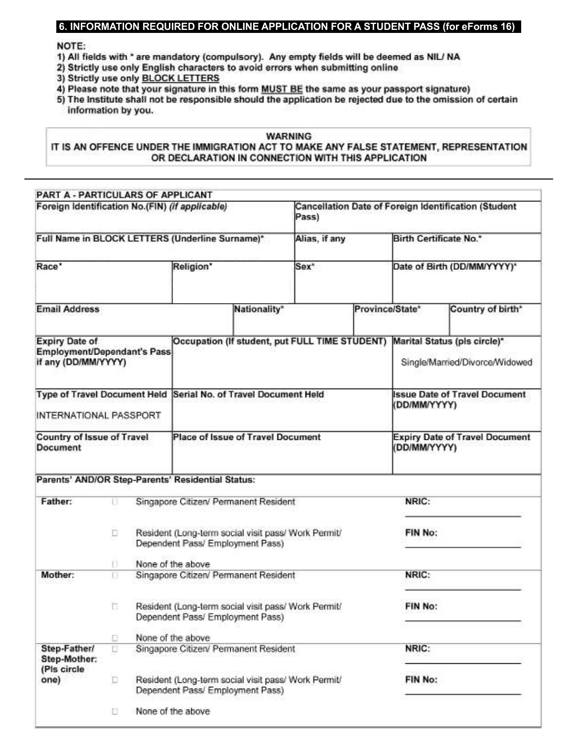## 6. INFORMATION REQUIRED FOR ONLINE APPLICATION FOR A STUDENT PASS (for eForms 16)

## NOTE:

- 1) All fields with \* are mandatory (compulsory). Any empty fields will be deemed as NIL/ NA
- 2) Strictly use only English characters to avoid errors when submitting online
- 3) Strictly use only BLOCK LETTERS
- 4) Please note that your signature in this form MUST BE the same as your passport signature)

5) The Institute shall not be responsible should the application be rejected due to the omission of certain information by you.

## **WARNING**

IT IS AN OFFENCE UNDER THE IMMIGRATION ACT TO MAKE ANY FALSE STATEMENT, REPRESENTATION OR DECLARATION IN CONNECTION WITH THIS APPLICATION

| PART A - PARTICULARS OF APPLICANT                                           |                   |                                       |                                    |                                                     |                 |              |                                                                |
|-----------------------------------------------------------------------------|-------------------|---------------------------------------|------------------------------------|-----------------------------------------------------|-----------------|--------------|----------------------------------------------------------------|
| Foreign Identification No.(FIN) (if applicable)                             |                   |                                       |                                    | Pass)                                               |                 |              | Cancellation Date of Foreign Identification (Student           |
| Full Name in BLOCK LETTERS (Underline Surname)*                             |                   |                                       |                                    | Alias, if any                                       |                 |              | <b>Birth Certificate No.*</b>                                  |
| Race <sup>®</sup>                                                           |                   | Religion*                             |                                    | Sex <sup>*</sup>                                    |                 |              | Date of Birth (DD/MM/YYYY)*                                    |
| <b>Email Address</b>                                                        |                   |                                       | Nationality*                       |                                                     | Province/State* |              | Country of birth*                                              |
| <b>Expiry Date of</b><br>Employment/Dependant's Pass<br>if any (DD/MM/YYYY) |                   |                                       |                                    | Occupation (If student, put FULL TIME STUDENT)      |                 |              | Marital Status (pls circle)*<br>Single/Married/Divorce/Widowed |
| <b>Type of Travel Document Held</b><br>INTERNATIONAL PASSPORT               |                   |                                       | Serial No. of Travel Document Held |                                                     |                 | (DD/MM/YYYY) | <b>Issue Date of Travel Document</b>                           |
| Country of Issue of Travel<br><b>Document</b>                               |                   |                                       | Place of Issue of Travel Document  |                                                     |                 | (DD/MM/YYYY) | <b>Expiry Date of Travel Document</b>                          |
| Parents' AND/OR Step-Parents' Residential Status:                           |                   |                                       |                                    |                                                     |                 |              |                                                                |
| Father:                                                                     | n                 | Singapore Citizen/ Permanent Resident |                                    |                                                     |                 | NRIC:        |                                                                |
|                                                                             | Ð                 | Dependent Pass/ Employment Pass)      |                                    | Resident (Long-term social visit pass/ Work Permit/ |                 | FIN No:      |                                                                |
|                                                                             | U.                | None of the above                     |                                    |                                                     |                 |              |                                                                |
| Mother:                                                                     | U                 | Singapore Citizen/ Permanent Resident |                                    |                                                     |                 | NRIC:        |                                                                |
|                                                                             | n                 | Dependent Pass/ Employment Pass)      |                                    | Resident (Long-term social visit pass/ Work Permit/ |                 | FIN No:      |                                                                |
|                                                                             | Ð                 | None of the above                     |                                    |                                                     |                 |              |                                                                |
| Step-Father/<br>Step-Mother:<br>(Pis circle                                 | U                 | Singapore Citizen/ Permanent Resident |                                    |                                                     |                 | NRIC:        |                                                                |
| one)                                                                        | $\overline{\Box}$ | Dependent Pass/ Employment Pass)      |                                    | Resident (Long-term social visit pass/ Work Permit/ |                 | FIN No:      |                                                                |
|                                                                             | 扣                 | None of the above                     |                                    |                                                     |                 |              |                                                                |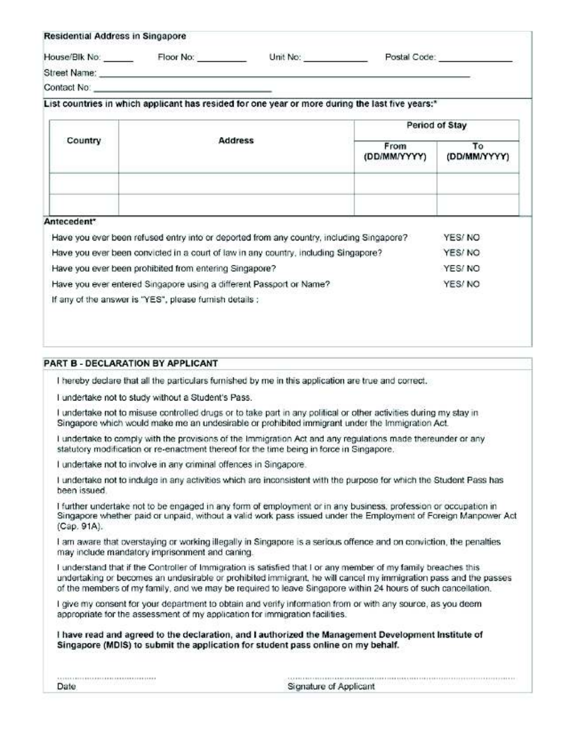| Residential Address in Singapore |           |                                                                                                 |              |  |
|----------------------------------|-----------|-------------------------------------------------------------------------------------------------|--------------|--|
| House/Blk No.                    | Floor No: | Unit No:                                                                                        | Postal Code: |  |
| Street Name:                     |           |                                                                                                 |              |  |
| Contact No:                      |           |                                                                                                 |              |  |
|                                  |           | List countries in which applicant has resided for one year or more during the last five years:* |              |  |

|             |                                                                                          |                      | Period of Stay     |
|-------------|------------------------------------------------------------------------------------------|----------------------|--------------------|
| Country     | <b>Address</b>                                                                           | From<br>(DD/MM/YYYY) | To<br>(DD/MM/YYYY) |
| Antecedent* | Have you ever been refused entry into or deported from any country, including Singapore? |                      | YES/NO             |
|             | Have you ever been convicted in a court of law in any country, including Singapore?      |                      | YES/NO             |
|             | Have you ever been prohibited from entering Singapore?                                   |                      | YES/NO             |

Have you ever entered Singapore using a different Passport or Name? YES/NO If any of the answer is "YES", please furnish details :

## PART B - DECLARATION BY APPLICANT

I hereby declare that all the particulars furnished by me in this application are true and correct.

I undertake not to study without a Student's Pass.

I undertake not to misuse controlled drugs or to take part in any political or other activities during my stay in Singapore which would make me an undesirable or prohibited immigrant under the Immigration Act.

I undertake to comply with the provisions of the Immigration Act and any regulations made thereunder or any statutory modification or re-enactment thereof for the time being in force in Singapore.

I undertake not to involve in any criminal offences in Singapore.

I undertake not to indulge in any activities which are inconsistent with the purpose for which the Student Pass has heen issued.

I further undertake not to be engaged in any form of employment or in any business, profession or occupation in Singapore whether paid or unpaid, without a valid work pass issued under the Employment of Foreign Manpower Act (Cap. 91A).

I am aware that overstaving or working illegally in Singapore is a serious offence and on conviction, the penalties may include mandatory imprisonment and caning.

I understand that if the Controller of Immigration is satisfied that I or any member of my family breaches this undertaking or becomes an undesirable or prohibited immigrant, he will cancel my immigration pass and the passes of the members of my family, and we may be required to leave Singapore within 24 hours of such cancellation.

I give my consent for your department to obtain and verify information from or with any source, as you deem appropriate for the assessment of my application for immigration facilities.

I have read and agreed to the declaration, and I authorized the Management Development Institute of Singapore (MDIS) to submit the application for student pass online on my behalf.

| Date |  |  |
|------|--|--|

| Signature of Applicant |  |
|------------------------|--|
|                        |  |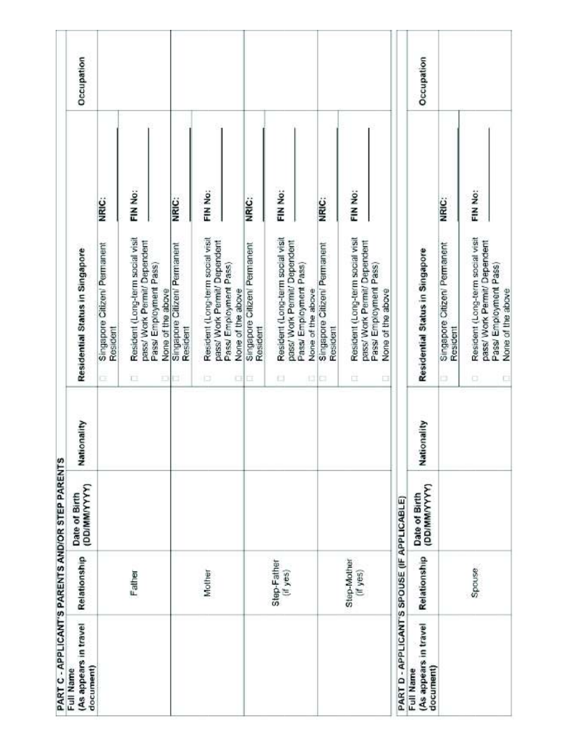| PART C - APPLICANT'S PARENTS AND/OR STEP PARENTS |                         |                               |             |                                                                                                  |         |            |  |
|--------------------------------------------------|-------------------------|-------------------------------|-------------|--------------------------------------------------------------------------------------------------|---------|------------|--|
| (As appears in travel<br>document)<br>Full Name  | Relationship            | Date of Birth<br>(DD/MM/YYYY) | Nationality | Residential Status in Singapore                                                                  |         | Occupation |  |
|                                                  |                         |                               |             | Singapore Citizen/ Permanent<br>Resident<br>Œ                                                    | NRIC:   |            |  |
|                                                  | Father                  |                               |             | Resident (Long-term social visit<br>pass/ Work Permit/ Dependent<br>ā                            | FIN No: |            |  |
|                                                  |                         |                               |             | Pass/ Employment Pass)<br>None of the above<br>Ð                                                 |         |            |  |
|                                                  |                         |                               |             | Singapore Citizen/ Permanent<br>Resident<br>u                                                    | NRIC:   |            |  |
|                                                  | Mother                  |                               |             | Resident (Long-term social visit<br>pass/ Work Permit/ Dependent<br>Pass/ Employment Pass)<br>ib | FIN No: |            |  |
|                                                  |                         |                               |             | None of the above                                                                                |         |            |  |
|                                                  |                         |                               |             | Singapore Citizen/ Permanent<br>Resident<br>CHC                                                  | NRIC:   |            |  |
|                                                  | Step-Father<br>(if yes) |                               |             | Resident (Long-term social visit<br>pass/ Work Permit/ Dependent<br>£1                           | FIN No: |            |  |
|                                                  |                         |                               |             | Pass/ Employment Pass)<br>None of the above<br>1310                                              |         |            |  |
|                                                  |                         |                               |             | Singapore Citizen/ Permanent<br>Resident                                                         | NRIC:   |            |  |
|                                                  | Step-Mother<br>(if yes) |                               |             | Resident (Long-term social visit<br>pass/ Work Permit/ Dependent<br>ÈÏ.                          | FIN No: |            |  |
|                                                  |                         |                               |             | Pass/ Employment Pass)<br>None of the above<br>ū                                                 |         |            |  |
| PART D - APPLICANT'S SPOUSE (IF APPLICABLE)      |                         |                               |             |                                                                                                  |         |            |  |
| (As appears in travel<br>document)<br>Full Name  | Relationship            | (DD/MM/YYYY)<br>Date of Birth | Nationality | Residential Status in Singapore                                                                  |         | Occupation |  |
|                                                  |                         |                               |             | Singapore Citizen/ Permanent<br>Resident<br>ö                                                    | NRIC:   |            |  |
|                                                  | Spouse                  |                               |             | Resident (Long-term social visit<br>pass/ Work Permit/ Dependent<br>Pass/ Employment Pass)<br>ö  | FIN No: |            |  |
|                                                  |                         |                               |             | None of the above<br>p                                                                           |         |            |  |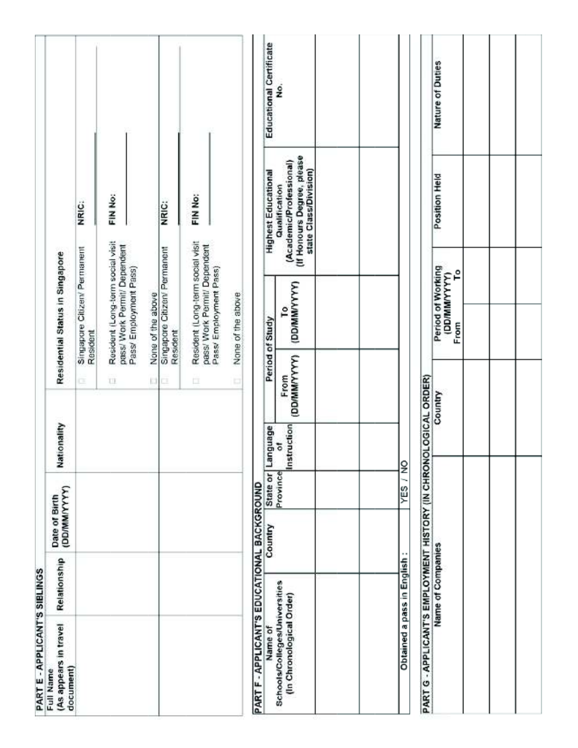| PART E - APPLICANT'S SIBLINGS                                    |                            |                                 |                  |                                |                                                                                            |   |                                                                                                 |                         |
|------------------------------------------------------------------|----------------------------|---------------------------------|------------------|--------------------------------|--------------------------------------------------------------------------------------------|---|-------------------------------------------------------------------------------------------------|-------------------------|
| (As appears in travel<br>document)<br>Full Name                  | Relationship               | (DD/MM/YYYY)<br>Date of Birth   | Nationality      |                                | Residential Status in Singapore                                                            |   |                                                                                                 |                         |
|                                                                  |                            |                                 |                  | c                              | Singapore Citizen/ Permanent<br>Resident                                                   |   | NRIC:                                                                                           |                         |
|                                                                  |                            |                                 |                  | U                              | Resident (Long-term social visit<br>pass/ Work Permit/ Dependent<br>Pass/ Employment Pass) |   | FIN No:                                                                                         |                         |
|                                                                  |                            |                                 |                  | $\left\lfloor . \right\rfloor$ | None of the above                                                                          |   |                                                                                                 |                         |
|                                                                  |                            |                                 |                  | ı                              | Singapore Citizery Permanent<br>Resident                                                   |   | <b>NRIC:</b>                                                                                    |                         |
|                                                                  |                            |                                 |                  | 巨                              | Resident (Long-term social visit<br>pass/ Work Permit/ Dependent<br>Pass/ Employment Pass) |   | FIN No:                                                                                         |                         |
|                                                                  |                            |                                 |                  | o                              | None of the above                                                                          |   |                                                                                                 |                         |
| PART F - APPLICANT'S EDUCATIONAL BACKGROUND                      |                            |                                 |                  |                                |                                                                                            |   |                                                                                                 |                         |
| Name of                                                          |                            | State or<br>Province<br>Country | Language         |                                | Period of Study                                                                            |   | <b>Highest Educational</b>                                                                      | Educational Certificate |
| Schools/Colleges/Universities<br>(In Chronological Order)        |                            |                                 | Instruction<br>5 | (DD/MM/YYYY)<br>From           | <b>LAAAMWAQQ</b><br>۴                                                                      |   | (If Honours Degree, please<br>(Academic/Professional)<br>state Class/Division)<br>Qualification | ş                       |
|                                                                  |                            |                                 |                  |                                |                                                                                            |   |                                                                                                 |                         |
|                                                                  |                            |                                 |                  |                                |                                                                                            |   |                                                                                                 |                         |
|                                                                  | Obtained a pass in English | ΥËS                             | $\frac{8}{1}$    |                                |                                                                                            |   |                                                                                                 |                         |
| PART G - APPLICANT'S EMPLOYMENT HISTORY (IN CHRONOLOGICAL ORDER) |                            |                                 |                  |                                |                                                                                            |   |                                                                                                 |                         |
|                                                                  | Name of Companies          |                                 |                  | Country                        | Period of Working<br>(DD/MMYYYYY)<br>From                                                  | ء | Position Held                                                                                   | Nature of Duties        |
|                                                                  |                            |                                 |                  |                                |                                                                                            |   |                                                                                                 |                         |
|                                                                  |                            |                                 |                  |                                |                                                                                            |   |                                                                                                 |                         |
|                                                                  |                            |                                 |                  |                                |                                                                                            |   |                                                                                                 |                         |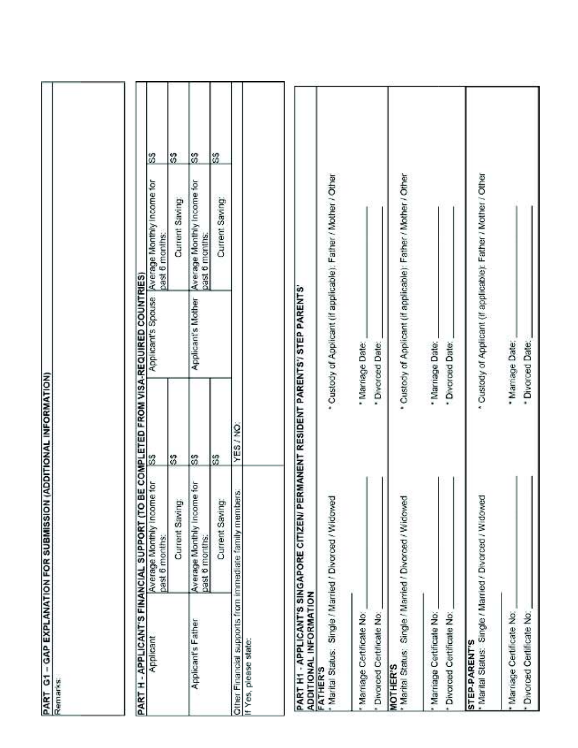|                                                                                               | PART G1 – GAP EXPLANATION FOR SUBMISSION (ADDITIONAL INFORMATION)<br>Remarks: |           |                                            |                                                                   |   |  |
|-----------------------------------------------------------------------------------------------|-------------------------------------------------------------------------------|-----------|--------------------------------------------|-------------------------------------------------------------------|---|--|
| PART H - APPLICANT'S FINANCIAL SUPPORT (TO                                                    |                                                                               |           | BE COMPLETED FROM VISA-REQUIRED COUNTRIES) |                                                                   |   |  |
| Applicant                                                                                     | Average Monthly Income for<br>past 6 months:                                  | 3         |                                            | Applicant's Spouse   Average Monthly Income for<br>past 6 months: | 3 |  |
|                                                                                               | Current Saving                                                                | s         |                                            | Current Saving                                                    | S |  |
| Applicant's Father                                                                            | Average Monthly Income for<br>past 6 months:                                  | ြိ        | Applicant's Mother                         | Average Monthly Income for<br>past 6 months:                      | 3 |  |
|                                                                                               | Current Saving:                                                               | 3         |                                            | Current Saving:                                                   | 3 |  |
|                                                                                               | Other Financial supports from immediate family members:                       | YES / NO: |                                            |                                                                   |   |  |
| PART H1 - APPLICANT'S SINGAPORE CITIZEN/ P<br>ADDITIONAL INFORMATION<br>If Yes, please state: |                                                                               |           | ERMANENT RESIDENT PARENTS'/ STEP PARENTS'  |                                                                   |   |  |
| <b>FATHER'S</b>                                                                               | Marital Status: Single / Married / Divorced / Widowed                         |           |                                            | * Custody of Applicant (if applicable); Father / Mother / Other   |   |  |
| Marriage Certificate No:                                                                      |                                                                               |           | · Marriage Date:                           |                                                                   |   |  |
| Divorced Certificate No:                                                                      |                                                                               |           | * Divorced Date:                           |                                                                   |   |  |
| Marital Status: Single / Married / Divorced / Widowed<br>MOTHER'S                             |                                                                               |           |                                            | Custody of Applicant (if applicable): Father / Mother / Other     |   |  |
| Marriage Certificate No:                                                                      |                                                                               |           | * Marriage Date:                           |                                                                   |   |  |
| Divorced Certificate No:                                                                      |                                                                               |           | * Divorced Date:                           |                                                                   |   |  |
| STEP-PARENT'S<br>* Warital Status: Single / Married / Divorced / Widowed                      |                                                                               |           |                                            | * Custody of Applicant (if applicable): Father / Mother / Other   |   |  |
| * Marriage Certificate No:<br>* Divorced Certificate No:                                      |                                                                               |           | * Mamage Date:<br>* Divorced Date:         |                                                                   |   |  |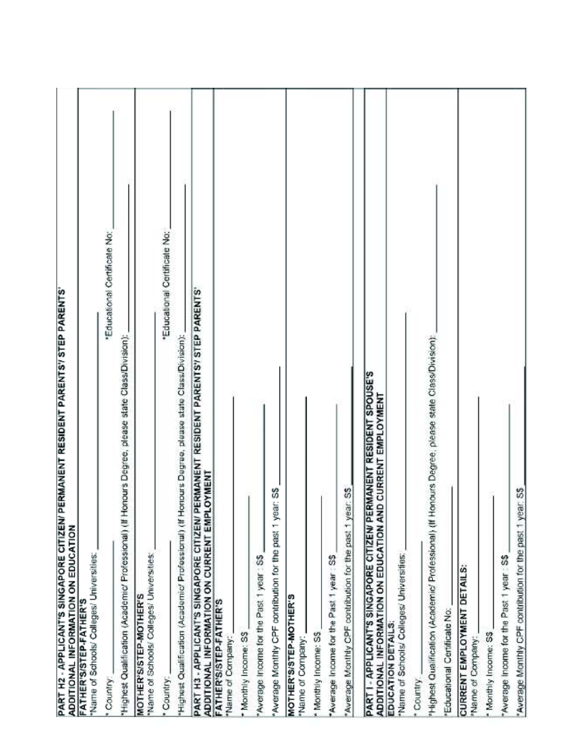| PART H2 - APPLICANT'S SINGAPORE CITIZEN/ PERMANENT RESIDENT PARENTSY STEP PARENTS'<br>ADDITIONAL INFORMATION ON EDUCATION          |  |
|------------------------------------------------------------------------------------------------------------------------------------|--|
| Name of Schools/ Colleges/ Universities:<br>FATHER'S/STEP-FATHER'S                                                                 |  |
| "Educational Certificate No:<br>Country                                                                                            |  |
| Highest Qualification (Academic/ Professional) (If Honours Degree, please state Class/Division);                                   |  |
| Name of Schools/ Colleges/ Universities:<br>MOTHER'S/STEP-MOTHER'S                                                                 |  |
| "Educational Certificate No:<br>Country:                                                                                           |  |
| Highest Qualification (Academic/ Professional) (If Honours Degree, please state Class/Division);                                   |  |
| PART H3 - APPLICANT'S SINGAPORE CITIZEN/ PERMANENT RESIDENT PARENTSY STEP PARENTS'<br>ADDITIONAL INFORMATION ON CURRENT EMPLOYMENT |  |
| FATHER'S/STEP-FATHER'S<br>"Name of Company:                                                                                        |  |
| Monthly Income: S\$                                                                                                                |  |
| Average Income for the Past 1 year : SS                                                                                            |  |
| ar: SS<br>ğ<br>T<br>'Average Monthly CPF contribution for the past                                                                 |  |
| <b>MOTHER'S/STEP-MOTHER'S</b><br>Name of Company:                                                                                  |  |
| Monthly Income: S\$                                                                                                                |  |
| Average Income for the Past 1 year : S\$                                                                                           |  |
| Average Monthly CPF contribution for the past 1 year. SS                                                                           |  |
| PART I - APPLICANT'S SINGAPORE CITIZEN/ PERMANENT RESIDENT SPOUSE'S<br>ADDITIONAL INFORMATION ON EDUCATION AND CURRENT EMPLOYMENT  |  |
| Name of Schools/ Colleges/ Universities:<br>EDUCATION DETAILS:                                                                     |  |
| Country.                                                                                                                           |  |
| Phighest Qualification (Academic/ Professional) (If Honours Degree; please state Class/Division);                                  |  |
| Educational Certificate No:                                                                                                        |  |
| <b>CURRENT EMPLOYMENT DETAILS:</b><br>"Name of Company.                                                                            |  |
| Monthly Income: S\$                                                                                                                |  |
| Average Income for the Past 1 year: S\$                                                                                            |  |
| Average Monthly CPF contribution for the past 1 year: S\$                                                                          |  |
|                                                                                                                                    |  |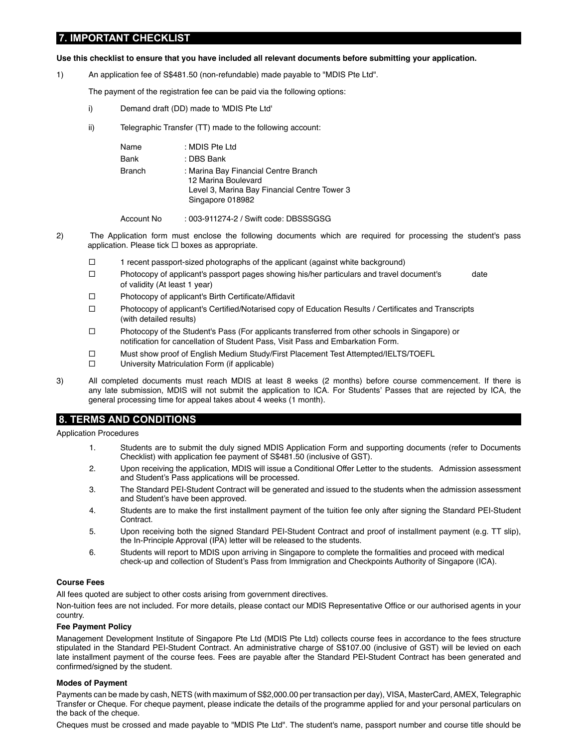## **7. IMPORTANT CHECKLIST**

#### Use this checklist to ensure that you have included all relevant documents before submitting your application.

1) An application fee of S\$481.50 (non-refundable) made payable to "MDIS Pte Ltd".

The payment of the registration fee can be paid via the following options:

- i) Demand draft (DD) made to 'MDIS Pte Ltd'
- ii) Telegraphic Transfer (TT) made to the following account:

| : MDIS Pte Ltd<br>Name<br>: DBS Bank<br>Bank<br>: Marina Bay Financial Centre Branch<br><b>Branch</b><br>12 Marina Boulevard<br>Singapore 018982 |  |                                              |
|--------------------------------------------------------------------------------------------------------------------------------------------------|--|----------------------------------------------|
|                                                                                                                                                  |  |                                              |
|                                                                                                                                                  |  |                                              |
|                                                                                                                                                  |  | Level 3, Marina Bay Financial Centre Tower 3 |

Account No : 003-911274-2 / Swift code: DBSSSGSG

- 2) The Application form must enclose the following documents which are required for processing the student's pass application. Please tick  $\Box$  boxes as appropriate.
	- $\Box$  1 recent passport-sized photographs of the applicant (against white background)
	- $\Box$  Photocopy of applicant's passport pages showing his/her particulars and travel document's date of validity (At least 1 year)
	- $\square$  Photocopy of applicant's Birth Certificate/Affidavit
	- $\Box$  Photocopy of applicant's Certified/Notarised copy of Education Results / Certificates and Transcripts (with detailed results)
		- Photocopy of the Student's Pass (For applicants transferred from other schools in Singapore) or notification for cancellation of Student Pass, Visit Pass and Embarkation Form.
		- Must show proof of English Medium Study/First Placement Test Attempted/IELTS/TOEFL
		- □ University Matriculation Form (if applicable)
- 3) All completed documents must reach MDIS at least 8 weeks (2 months) before course commencement. If there is any late submission, MDIS will not submit the application to ICA. For Students' Passes that are rejected by ICA, the general processing time for appeal takes about 4 weeks (1 month).

## **8. TERMS AND CONDITIONS**

Application Procedures

- 1. Students are to submit the duly signed MDIS Application Form and supporting documents (refer to Documents Checklist) with application fee payment of S\$481.50 (inclusive of GST).
- 2. Upon receiving the application, MDIS will issue a Conditional Offer Letter to the students. Admission assessment and Student's Pass applications will be processed.
- 3. The Standard PEI-Student Contract will be generated and issued to the students when the admission assessment and Student's have been approved.
- 4. Students are to make the first installment payment of the tuition fee only after signing the Standard PEI-Student Contract.
- 5. Upon receiving both the signed Standard PEI-Student Contract and proof of installment payment (e.g. TT slip), the In-Principle Approval (IPA) letter will be released to the students.
- 6. Students will report to MDIS upon arriving in Singapore to complete the formalities and proceed with medical check-up and collection of Student's Pass from Immigration and Checkpoints Authority of Singapore (ICA).

### **Course Fees**

All fees quoted are subject to other costs arising from government directives.

Non-tuition fees are not included. For more details, please contact our MDIS Representative Office or our authorised agents in your country.

#### **Fee Payment Policy**

Management Development Institute of Singapore Pte Ltd (MDIS Pte Ltd) collects course fees in accordance to the fees structure stipulated in the Standard PEI-Student Contract. An administrative charge of S\$107.00 (inclusive of GST) will be levied on each late installment payment of the course fees. Fees are payable after the Standard PEI-Student Contract has been generated and confirmed/signed by the student.

#### **Modes of Payment**

Payments can be made by cash, NETS (with maximum of S\$2,000.00 per transaction per day), VISA, MasterCard, AMEX, Telegraphic Transfer or Cheque. For cheque payment, please indicate the details of the programme applied for and your personal particulars on the back of the cheque.

Cheques must be crossed and made payable to "MDIS Pte Ltd". The student's name, passport number and course title should be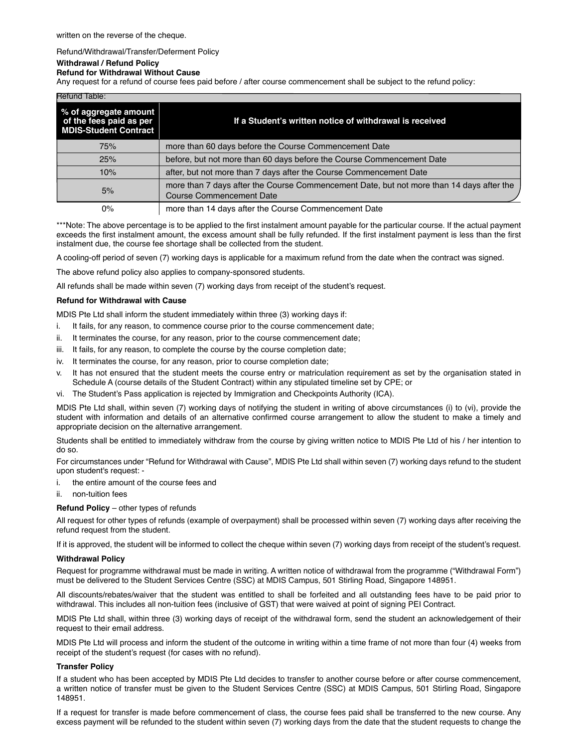#### Refund/Withdrawal/Transfer/Deferment Policy

#### **Withdrawal / Refund Policy**

**Refund for Withdrawal Without Cause** 

Any request for a refund of course fees paid before / after course commencement shall be subject to the refund policy:

| Refund lable:                                                                    |                                                                                                                             |  |  |  |
|----------------------------------------------------------------------------------|-----------------------------------------------------------------------------------------------------------------------------|--|--|--|
| % of aggregate amount<br>of the fees paid as per<br><b>MDIS-Student Contract</b> | If a Student's written notice of withdrawal is received                                                                     |  |  |  |
| 75%                                                                              | more than 60 days before the Course Commencement Date                                                                       |  |  |  |
| 25%                                                                              | before, but not more than 60 days before the Course Commencement Date                                                       |  |  |  |
| 10%                                                                              | after, but not more than 7 days after the Course Commencement Date                                                          |  |  |  |
| 5%                                                                               | more than 7 days after the Course Commencement Date, but not more than 14 days after the<br><b>Course Commencement Date</b> |  |  |  |
| 0%                                                                               | more than 14 days after the Course Commencement Date                                                                        |  |  |  |

\*\*\*Note: The above percentage is to be applied to the first instalment amount payable for the particular course. If the actual payment exceeds the first instalment amount, the excess amount shall be fully refunded. If the first instalment payment is less than the first instalment due, the course fee shortage shall be collected from the student.

A cooling-off period of seven (7) working days is applicable for a maximum refund from the date when the contract was signed.

The above refund policy also applies to company-sponsored students.

All refunds shall be made within seven (7) working days from receipt of the student's request.

#### **Refund for Withdrawal with Cause**

MDIS Pte Ltd shall inform the student immediately within three (3) working days if:

- i. It fails, for any reason, to commence course prior to the course commencement date;
- ii. It terminates the course, for any reason, prior to the course commencement date;
- iii. It fails, for any reason, to complete the course by the course completion date;
- iv. It terminates the course, for any reason, prior to course completion date;
- v. It has not ensured that the student meets the course entry or matriculation requirement as set by the organisation stated in Schedule A (course details of the Student Contract) within any stipulated timeline set by CPE; or
- vi. The Student's Pass application is rejected by Immigration and Checkpoints Authority (ICA).

MDIS Pte Ltd shall, within seven (7) working days of notifying the student in writing of above circumstances (i) to (vi), provide the student with information and details of an alternative confirmed course arrangement to allow the student to make a timely and appropriate decision on the alternative arrangement.

Students shall be entitled to immediately withdraw from the course by giving written notice to MDIS Pte Ltd of his / her intention to do so.

For circumstances under "Refund for Withdrawal with Cause", MDIS Pte Ltd shall within seven (7) working days refund to the student upon student's request: -

- i. the entire amount of the course fees and
- ii. non-tuition fees

**Refund Policy** – other types of refunds

All request for other types of refunds (example of overpayment) shall be processed within seven (7) working days after receiving the refund request from the student.

If it is approved, the student will be informed to collect the cheque within seven (7) working days from receipt of the student's request.

#### **Withdrawal Policy**

Request for programme withdrawal must be made in writing. A written notice of withdrawal from the programme ("Withdrawal Form") must be delivered to the Student Services Centre (SSC) at MDIS Campus, 501 Stirling Road, Singapore 148951.

All discounts/rebates/waiver that the student was entitled to shall be forfeited and all outstanding fees have to be paid prior to withdrawal. This includes all non-tuition fees (inclusive of GST) that were waived at point of signing PEI Contract.

MDIS Pte Ltd shall, within three (3) working days of receipt of the withdrawal form, send the student an acknowledgement of their request to their email address.

MDIS Pte Ltd will process and inform the student of the outcome in writing within a time frame of not more than four (4) weeks from receipt of the student's request (for cases with no refund).

#### **Transfer Policy**

If a student who has been accepted by MDIS Pte Ltd decides to transfer to another course before or after course commencement, a written notice of transfer must be given to the Student Services Centre (SSC) at MDIS Campus, 501 Stirling Road, Singapore 148951.

If a request for transfer is made before commencement of class, the course fees paid shall be transferred to the new course. Any excess payment will be refunded to the student within seven (7) working days from the date that the student requests to change the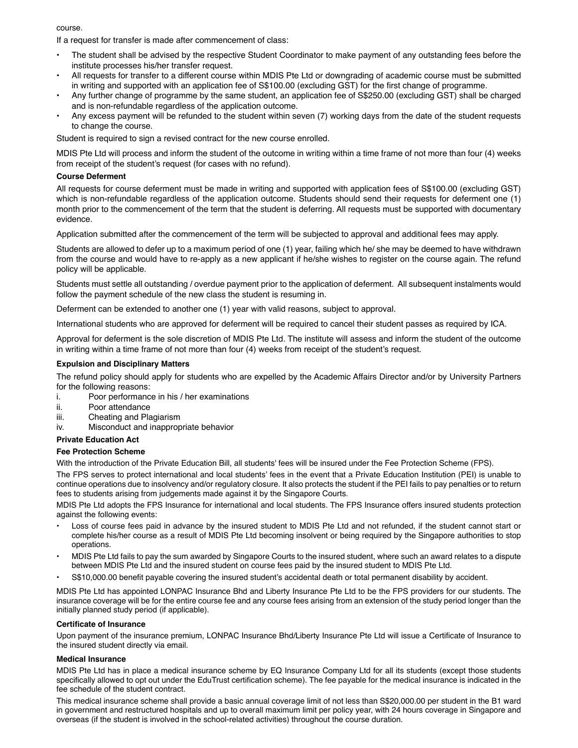course.

If a request for transfer is made after commencement of class:

- The student shall be advised by the respective Student Coordinator to make payment of any outstanding fees before the institute processes his/her transfer request.
- All requests for transfer to a different course within MDIS Pte Ltd or downgrading of academic course must be submitted in writing and supported with an application fee of S\$100.00 (excluding GST) for the first change of programme.
- Any further change of programme by the same student, an application fee of S\$250.00 (excluding GST) shall be charged and is non-refundable regardless of the application outcome.
- Any excess payment will be refunded to the student within seven (7) working days from the date of the student requests to change the course.

Student is required to sign a revised contract for the new course enrolled.

MDIS Pte Ltd will process and inform the student of the outcome in writing within a time frame of not more than four (4) weeks from receipt of the student's request (for cases with no refund).

### **Course Deferment**

All requests for course deferment must be made in writing and supported with application fees of S\$100.00 (excluding GST) which is non-refundable regardless of the application outcome. Students should send their requests for deferment one (1) month prior to the commencement of the term that the student is deferring. All requests must be supported with documentary evidence.

Application submitted after the commencement of the term will be subjected to approval and additional fees may apply.

Students are allowed to defer up to a maximum period of one (1) year, failing which he/ she may be deemed to have withdrawn from the course and would have to re-apply as a new applicant if he/she wishes to register on the course again. The refund policy will be applicable.

Students must settle all outstanding / overdue payment prior to the application of deferment. All subsequent instalments would follow the payment schedule of the new class the student is resuming in.

Deferment can be extended to another one (1) year with valid reasons, subject to approval.

International students who are approved for deferment will be required to cancel their student passes as required by ICA.

Approval for deferment is the sole discretion of MDIS Pte Ltd. The institute will assess and inform the student of the outcome in writing within a time frame of not more than four (4) weeks from receipt of the student's request.

#### **Expulsion and Disciplinary Matters**

The refund policy should apply for students who are expelled by the Academic Affairs Director and/or by University Partners for the following reasons:

- i. Poor performance in his / her examinations
- ii. Poor attendance
- iii. Cheating and Plagiarism
- iv. Misconduct and inappropriate behavior

### **Private Education Act**

#### **Fee Protection Scheme**

With the introduction of the Private Education Bill, all students' fees will be insured under the Fee Protection Scheme (FPS).

The FPS serves to protect international and local students' fees in the event that a Private Education Institution (PEI) is unable to continue operations due to insolvency and/or regulatory closure. It also protects the student if the PEI fails to pay penalties or to return fees to students arising from judgements made against it by the Singapore Courts.

MDIS Pte Ltd adopts the FPS Insurance for international and local students. The FPS Insurance offers insured students protection against the following events:

- Loss of course fees paid in advance by the insured student to MDIS Pte Ltd and not refunded, if the student cannot start or complete his/her course as a result of MDIS Pte Ltd becoming insolvent or being required by the Singapore authorities to stop operations.
- MDIS Pte Ltd fails to pay the sum awarded by Singapore Courts to the insured student, where such an award relates to a dispute between MDIS Pte Ltd and the insured student on course fees paid by the insured student to MDIS Pte Ltd.
- S\$10,000.00 benefit payable covering the insured student's accidental death or total permanent disability by accident.

MDIS Pte Ltd has appointed LONPAC Insurance Bhd and Liberty Insurance Pte Ltd to be the FPS providers for our students. The insurance coverage will be for the entire course fee and any course fees arising from an extension of the study period longer than the initially planned study period (if applicable).

#### **Certificate of Insurance**

Upon payment of the insurance premium, LONPAC Insurance Bhd/Liberty Insurance Pte Ltd will issue a Certificate of Insurance to the insured student directly via email.

#### **Medical Insurance**

MDIS Pte Ltd has in place a medical insurance scheme by EQ Insurance Company Ltd for all its students (except those students specifically allowed to opt out under the EduTrust certification scheme). The fee payable for the medical insurance is indicated in the fee schedule of the student contract.

This medical insurance scheme shall provide a basic annual coverage limit of not less than S\$20,000.00 per student in the B1 ward in government and restructured hospitals and up to overall maximum limit per policy year, with 24 hours coverage in Singapore and overseas (if the student is involved in the school-related activities) throughout the course duration.